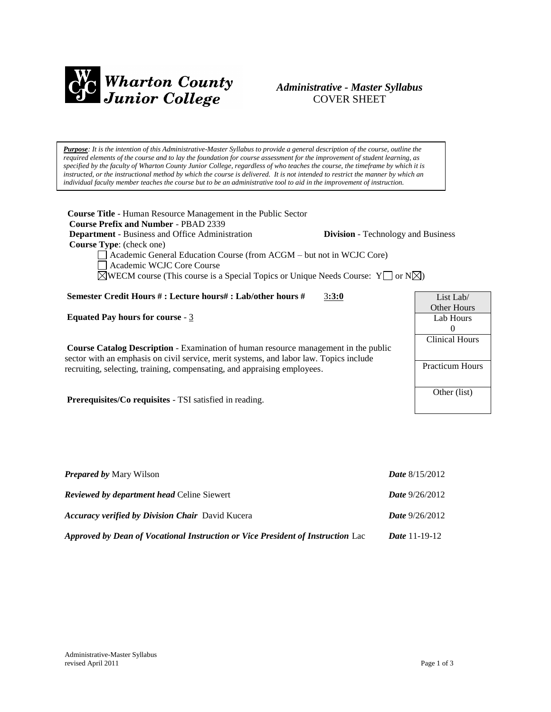

# *Administrative - Master Syllabus*  COVER SHEET

*Purpose: It is the intention of this Administrative-Master Syllabus to provide a general description of the course, outline the required elements of the course and to lay the foundation for course assessment for the improvement of student learning, as specified by the faculty of Wharton County Junior College, regardless of who teaches the course, the timeframe by which it is instructed, or the instructional method by which the course is delivered. It is not intended to restrict the manner by which an individual faculty member teaches the course but to be an administrative tool to aid in the improvement of instruction.*

**Course Title** - Human Resource Management in the Public Sector  **Course Prefix and Number** - PBAD 2339 **Department** - Business and Office Administration **Division** - Technology and Business  **Course Type**: (check one) Academic General Education Course (from ACGM – but not in WCJC Core) Academic WCJC Core Course  $\boxtimes$ WECM course (This course is a Special Topics or Unique Needs Course: Y  $\Box$  or N $\boxtimes$ ) **Semester Credit Hours # : Lecture hours# : Lab/other hours #** 3**:3:0 Equated Pay hours for course** - 3 **Course Catalog Description** - Examination of human resource management in the public sector with an emphasis on civil service, merit systems, and labor law. Topics include recruiting, selecting, training, compensating, and appraising employees. **Prerequisites/Co requisites** - TSI satisfied in reading. List Lab/ Other Hours Lab Hours  $\Omega$ Clinical Hours Practicum Hours Other (list)

| <b>Prepared by Mary Wilson</b>                                                  | <b>Date</b> $8/15/2012$ |
|---------------------------------------------------------------------------------|-------------------------|
| <b>Reviewed by department head Celine Siewert</b>                               | <b>Date</b> $9/26/2012$ |
| <b>Accuracy verified by Division Chair</b> David Kucera                         | <b>Date</b> $9/26/2012$ |
| Approved by Dean of Vocational Instruction or Vice President of Instruction Lac | <i>Date</i> 11-19-12    |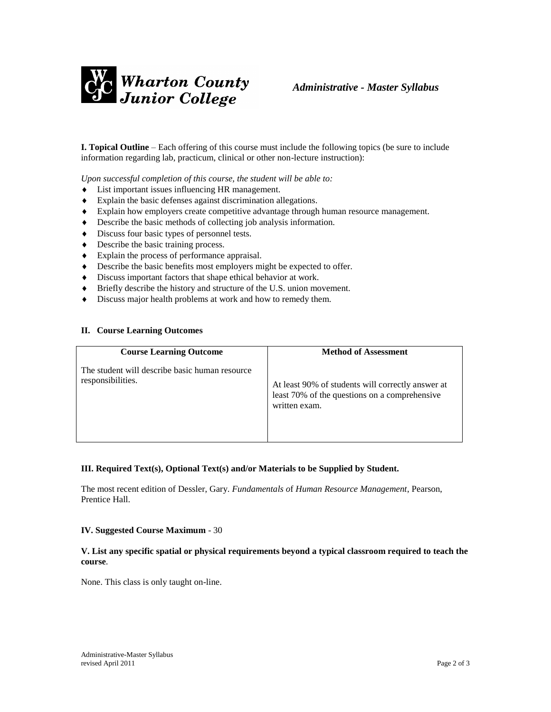

**I. Topical Outline** – Each offering of this course must include the following topics (be sure to include information regarding lab, practicum, clinical or other non-lecture instruction):

*Upon successful completion of this course, the student will be able to:*

- List important issues influencing HR management.
- Explain the basic defenses against discrimination allegations.
- Explain how employers create competitive advantage through human resource management.
- Describe the basic methods of collecting job analysis information.
- $\bullet$  Discuss four basic types of personnel tests.
- Describe the basic training process.
- Explain the process of performance appraisal.
- Describe the basic benefits most employers might be expected to offer.
- Discuss important factors that shape ethical behavior at work.
- Briefly describe the history and structure of the U.S. union movement.
- $\bullet$  Discuss major health problems at work and how to remedy them.

#### **II. Course Learning Outcomes**

| <b>Course Learning Outcome</b>                                      | <b>Method of Assessment</b>                                                                                         |
|---------------------------------------------------------------------|---------------------------------------------------------------------------------------------------------------------|
| The student will describe basic human resource<br>responsibilities. | At least 90% of students will correctly answer at<br>least 70% of the questions on a comprehensive<br>written exam. |

#### **III. Required Text(s), Optional Text(s) and/or Materials to be Supplied by Student.**

The most recent edition of Dessler, Gary. *Fundamentals o*f *Human Resource Management*, Pearson, Prentice Hall.

#### **IV. Suggested Course Maximum** - 30

## **V. List any specific spatial or physical requirements beyond a typical classroom required to teach the course**.

None. This class is only taught on-line.